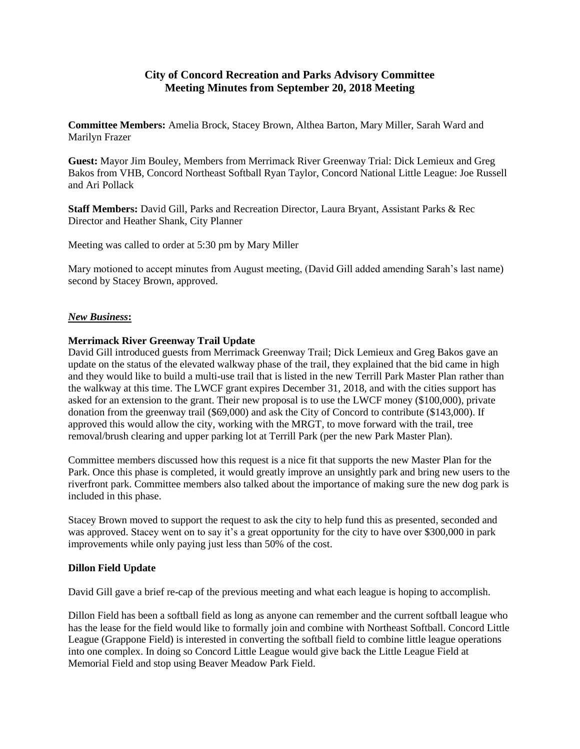## **City of Concord Recreation and Parks Advisory Committee Meeting Minutes from September 20, 2018 Meeting**

**Committee Members:** Amelia Brock, Stacey Brown, Althea Barton, Mary Miller, Sarah Ward and Marilyn Frazer

**Guest:** Mayor Jim Bouley, Members from Merrimack River Greenway Trial: Dick Lemieux and Greg Bakos from VHB, Concord Northeast Softball Ryan Taylor, Concord National Little League: Joe Russell and Ari Pollack

**Staff Members:** David Gill, Parks and Recreation Director, Laura Bryant, Assistant Parks & Rec Director and Heather Shank, City Planner

Meeting was called to order at 5:30 pm by Mary Miller

Mary motioned to accept minutes from August meeting, (David Gill added amending Sarah's last name) second by Stacey Brown, approved.

## *New Business***:**

## **Merrimack River Greenway Trail Update**

David Gill introduced guests from Merrimack Greenway Trail; Dick Lemieux and Greg Bakos gave an update on the status of the elevated walkway phase of the trail, they explained that the bid came in high and they would like to build a multi-use trail that is listed in the new Terrill Park Master Plan rather than the walkway at this time. The LWCF grant expires December 31, 2018, and with the cities support has asked for an extension to the grant. Their new proposal is to use the LWCF money (\$100,000), private donation from the greenway trail (\$69,000) and ask the City of Concord to contribute (\$143,000). If approved this would allow the city, working with the MRGT, to move forward with the trail, tree removal/brush clearing and upper parking lot at Terrill Park (per the new Park Master Plan).

Committee members discussed how this request is a nice fit that supports the new Master Plan for the Park. Once this phase is completed, it would greatly improve an unsightly park and bring new users to the riverfront park. Committee members also talked about the importance of making sure the new dog park is included in this phase.

Stacey Brown moved to support the request to ask the city to help fund this as presented, seconded and was approved. Stacey went on to say it's a great opportunity for the city to have over \$300,000 in park improvements while only paying just less than 50% of the cost.

## **Dillon Field Update**

David Gill gave a brief re-cap of the previous meeting and what each league is hoping to accomplish.

Dillon Field has been a softball field as long as anyone can remember and the current softball league who has the lease for the field would like to formally join and combine with Northeast Softball. Concord Little League (Grappone Field) is interested in converting the softball field to combine little league operations into one complex. In doing so Concord Little League would give back the Little League Field at Memorial Field and stop using Beaver Meadow Park Field.